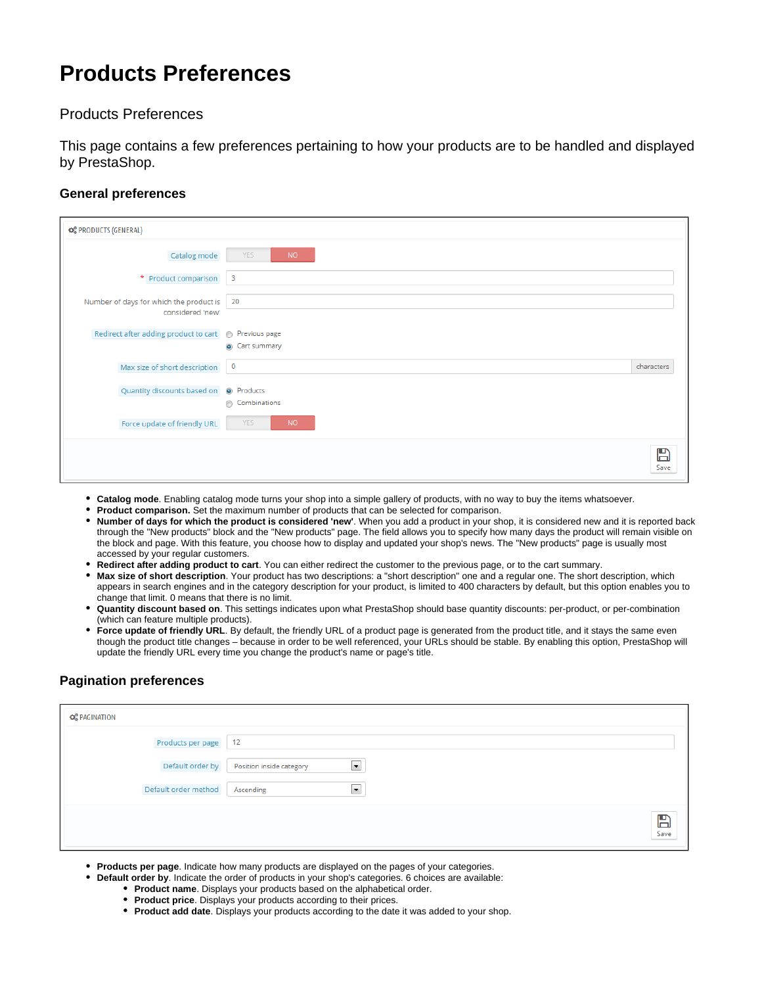# **Products Preferences**

# Products Preferences

This page contains a few preferences pertaining to how your products are to be handled and displayed by PrestaShop.

#### **General preferences**

| <b>OS PRODUCTS (GENERAL)</b>                                   |                                              |            |
|----------------------------------------------------------------|----------------------------------------------|------------|
| Catalog mode                                                   | <b>NO</b><br><b>YES</b>                      |            |
| * Product comparison                                           | $\overline{\phantom{a}}$                     |            |
| Number of days for which the product is 20<br>considered 'new' |                                              |            |
| Redirect after adding product to cart @ Previous page          | s Cart summary                               |            |
| Max size of short description                                  | $\overline{0}$                               | characters |
| Quantity discounts based on                                    | <sup>O</sup> Products<br><b>Combinations</b> |            |
| Force update of friendly URL                                   | <b>YES</b><br><b>NO</b>                      |            |
|                                                                |                                              | ⊞<br>Save  |

- **Catalog mode**. Enabling catalog mode turns your shop into a simple gallery of products, with no way to buy the items whatsoever.
- **Product comparison.** Set the maximum number of products that can be selected for comparison.
- **Number of days for which the product is considered 'new'**. When you add a product in your shop, it is considered new and it is reported back through the "New products" block and the "New products" page. The field allows you to specify how many days the product will remain visible on the block and page. With this feature, you choose how to display and updated your shop's news. The "New products" page is usually most accessed by your regular customers.
- **Redirect after adding product to cart**. You can either redirect the customer to the previous page, or to the cart summary.
- **Max size of short description**. Your product has two descriptions: a "short description" one and a regular one. The short description, which appears in search engines and in the category description for your product, is limited to 400 characters by default, but this option enables you to change that limit. 0 means that there is no limit.
- **Quantity discount based on**. This settings indicates upon what PrestaShop should base quantity discounts: per-product, or per-combination (which can feature multiple products).
- Force update of friendly URL. By default, the friendly URL of a product page is generated from the product title, and it stays the same even though the product title changes – because in order to be well referenced, your URLs should be stable. By enabling this option, PrestaShop will update the friendly URL every time you change the product's name or page's title.

## **Pagination preferences**

| <b>CC</b> PAGINATION |                                            |
|----------------------|--------------------------------------------|
| Products per page    | 12                                         |
| Default order by     | $\blacksquare$<br>Position inside category |
| Default order method | $\blacksquare$<br>Ascending                |
|                      | $\sum_{\text{Save}}$                       |

- **Products per page**. Indicate how many products are displayed on the pages of your categories.
- **Default order by**. Indicate the order of products in your shop's categories. 6 choices are available:
	- **Product name**. Displays your products based on the alphabetical order.
	- **Product price**. Displays your products according to their prices.
	- **Product add date**. Displays your products according to the date it was added to your shop.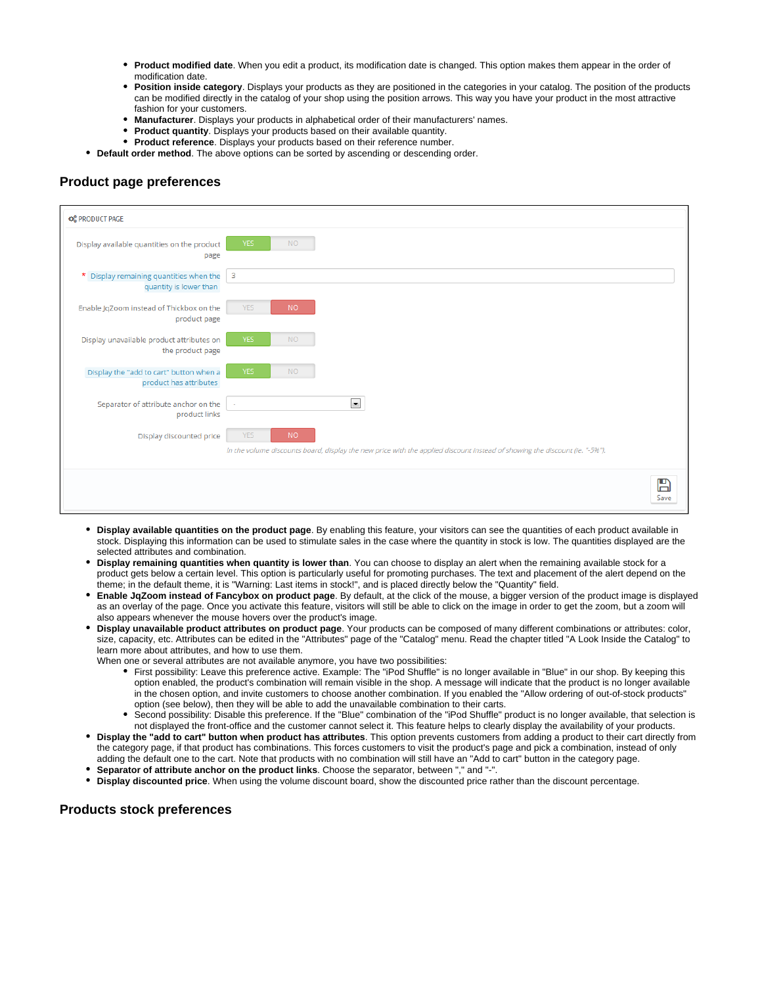- **Product modified date**. When you edit a product, its modification date is changed. This option makes them appear in the order of modification date.
- **Position inside category**. Displays your products as they are positioned in the categories in your catalog. The position of the products can be modified directly in the catalog of your shop using the position arrows. This way you have your product in the most attractive fashion for your customers.
- **Manufacturer**. Displays your products in alphabetical order of their manufacturers' names.
- **Product quantity**. Displays your products based on their available quantity.
- **Product reference**. Displays your products based on their reference number.
- **Default order method**. The above options can be sorted by ascending or descending order.

### **Product page preferences**



- **Display available quantities on the product page**. By enabling this feature, your visitors can see the quantities of each product available in stock. Displaying this information can be used to stimulate sales in the case where the quantity in stock is low. The quantities displayed are the selected attributes and combination.
- **Display remaining quantities when quantity is lower than**. You can choose to display an alert when the remaining available stock for a product gets below a certain level. This option is particularly useful for promoting purchases. The text and placement of the alert depend on the theme; in the default theme, it is "Warning: Last items in stock!", and is placed directly below the "Quantity" field.
- **Enable JqZoom instead of Fancybox on product page**. By default, at the click of the mouse, a bigger version of the product image is displayed as an overlay of the page. Once you activate this feature, visitors will still be able to click on the image in order to get the zoom, but a zoom will also appears whenever the mouse hovers over the product's image.
- **Display unavailable product attributes on product page**. Your products can be composed of many different combinations or attributes: color, size, capacity, etc. Attributes can be edited in the "Attributes" page of the "Catalog" menu. Read the chapter titled "A Look Inside the Catalog" to learn more about attributes, and how to use them.

When one or several attributes are not available anymore, you have two possibilities:

- First possibility: Leave this preference active. Example: The "iPod Shuffle" is no longer available in "Blue" in our shop. By keeping this option enabled, the product's combination will remain visible in the shop. A message will indicate that the product is no longer available in the chosen option, and invite customers to choose another combination. If you enabled the "Allow ordering of out-of-stock products" option (see below), then they will be able to add the unavailable combination to their carts.
- Second possibility: Disable this preference. If the "Blue" combination of the "iPod Shuffle" product is no longer available, that selection is not displayed the front-office and the customer cannot select it. This feature helps to clearly display the availability of your products.
- **Display the "add to cart" button when product has attributes**. This option prevents customers from adding a product to their cart directly from the category page, if that product has combinations. This forces customers to visit the product's page and pick a combination, instead of only adding the default one to the cart. Note that products with no combination will still have an "Add to cart" button in the category page.
- **Separator of attribute anchor on the product links**. Choose the separator, between "," and "-".
- **Display discounted price**. When using the volume discount board, show the discounted price rather than the discount percentage.

#### **Products stock preferences**